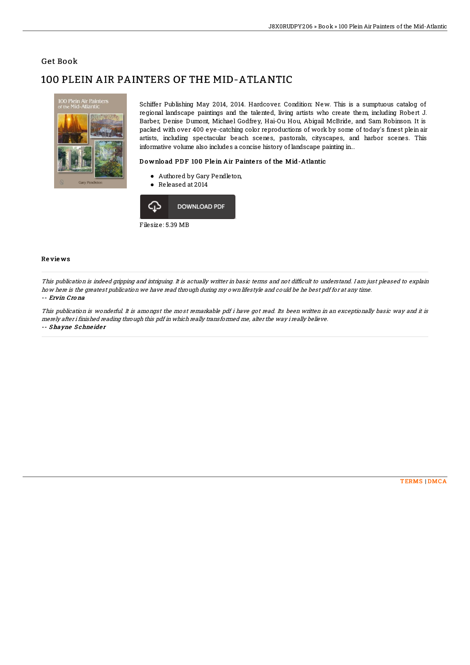### Get Book

# 100 PLEIN AIR PAINTERS OF THE MID-ATLANTIC



Schiffer Publishing May 2014, 2014. Hardcover. Condition: New. This is a sumptuous catalog of regional landscape paintings and the talented, living artists who create them, including Robert J. Barber, Denise Dumont, Michael Godfrey, Hai-Ou Hou, Abigail McBride, and Sam Robinson. It is packed with over 400 eye-catching color reproductions of work by some of today's finest plein air artists, including spectacular beach scenes, pastorals, cityscapes, and harbor scenes. This informative volume also includes a concise history of landscape painting in...

#### Download PDF 100 Plein Air Painters of the Mid-Atlantic

- Authored by Gary Pendleton,
- Released at 2014



#### Re vie ws

This publication is indeed gripping and intriguing. It is actually writter in basic terms and not difficult to understand. I am just pleased to explain how here is the greatest publication we have read through during my own lifestyle and could be he best pdf for at any time. -- Ervin Cro na

This publication is wonderful. It is amongst the most remarkable pdf i have got read. Its been written in an exceptionally basic way and it is merely after i finished reading through this pdf in which really transformed me, alter the way i really believe. -- Shayne Schneider